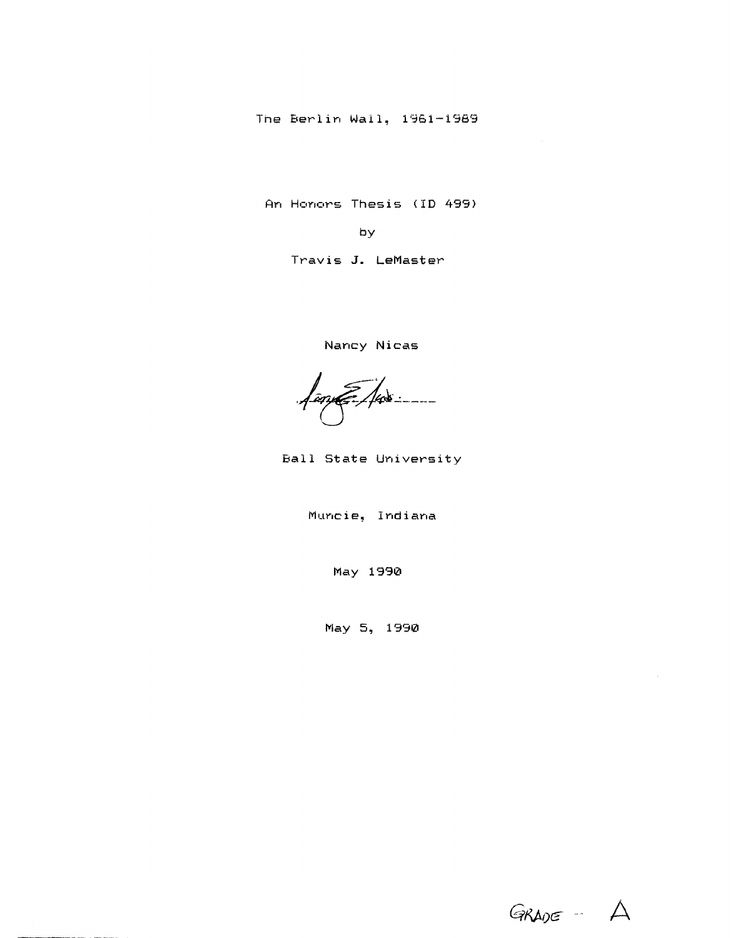The Berlin Wall, 1961-1989

An Honors Thesis (ID 499)

by

Travis **J.** LeMaster

Nancy Nicas

<u> 1 an E. 148 : ----</u>

Ball State University

Muncie, Indiana

May 1990

May 5, 1990

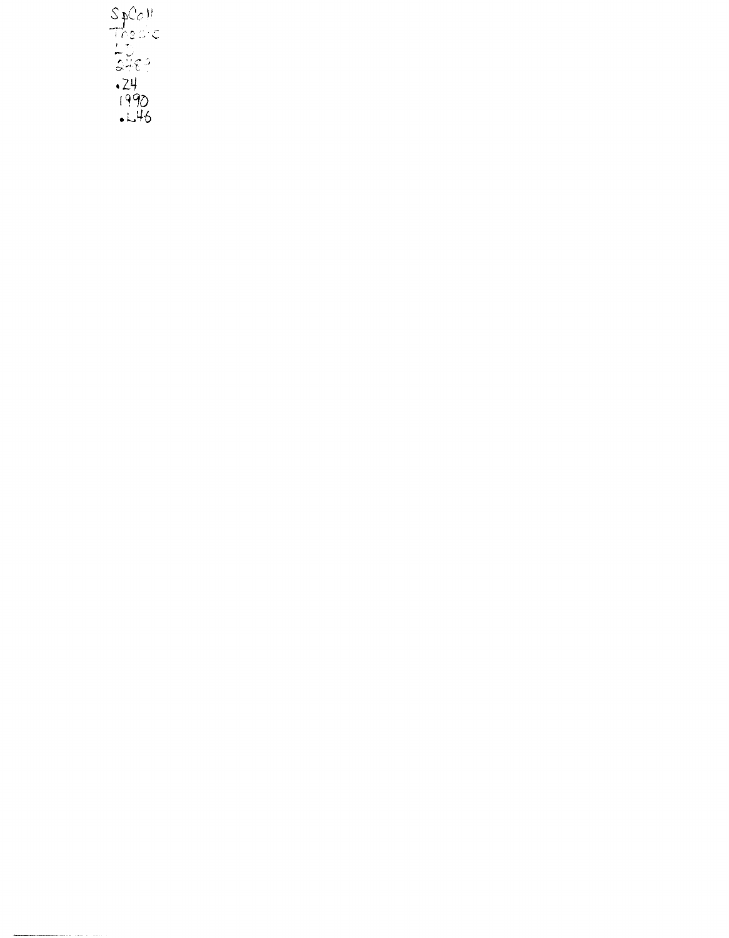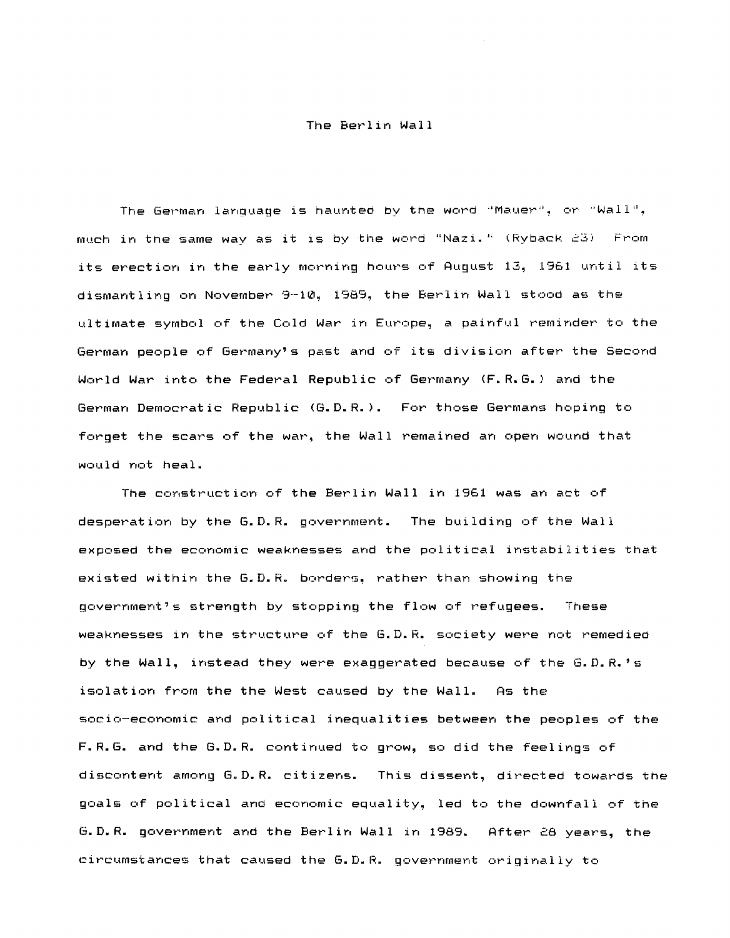## The Berlin Wall

The German language is haunted by the word "Mauer", or "Wall", much in the same way as it is by the word "Nazi." (Ryback 23) From its erection in the early morning hours of August 13, 1961 until its dismantling on November 9-10. 1989, the Berlin Wall stood as the ultimate symbol of the Cold War in Europe, a painful reminder to the German people of Germany's past and of its division after the Second World War into the Federal Republic of Germany (F.R.G.) and the German Democratic Republic (G.D.R.). For those Germans hoping to forget the scars of the war, the Wall remained an open wound that would not heal.

The construction of the Berlin Wall in 1961 was an act of desperation by the G.D.R. government. The building of the Wall exposed the economic weaknesses and the political instabilities that existed within the G.D.R. borders, rather than showing the government's strength by stopping the flow of refugees. These weaknesses in the structure of the G.D.R. society were not remedied by the Wall, instead they were exaggerated because of the G.D.R.'s isolation from the the West caused by the Wall. As the! socio-economic and political inequalities between the peoples of the F.R.G. and the G.D.R. continued to grow, so did the feelings of discontent among G.D.R. citizens. This dissent, directed towards the goals of political and economic equality, led to the downfall of the G.D.R. government and the Berlin Wall in 1989. After 28 years, the circumstances that caused the G.D.R. government originally to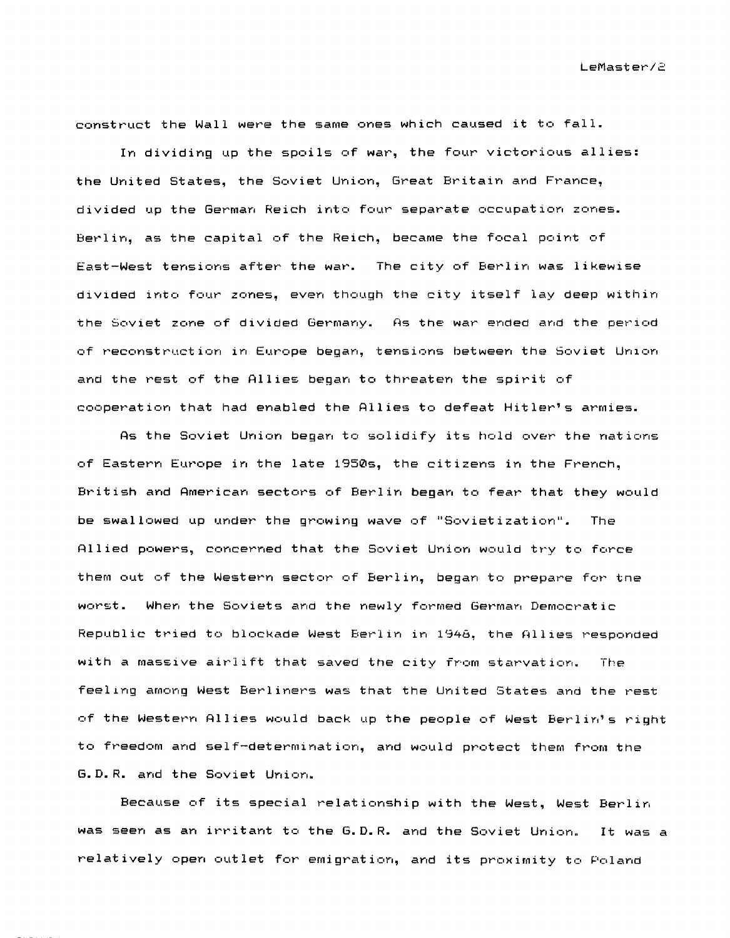construct the Wall were the same ones which caused it to fall.

In dividing up the spoils of war, the four victorious allies: the United States, the Soviet Union, Great Britain and France, divided up the German Reich into four separate occupation zones. Berlin, as the capital of the Reich, became the focal point of East-West tensions after the war. The city of Berlin was likewise diVIded into four zones, even though the city itself lay deep within the Soviet zone of divided Germany. As the war ended and the period of reconstruction in Europe began, tensions between the Soviet UnIon and the rest of the Allies began to threaten the spirit of cooperation that had enabled the Allies to defeat Hitler's armies.

As the Soviet Union began to solidify its hold over the nations of Eastern Europe in the late 1950s, the citizens in the French, British and American sectors of Berlin began to fear that they would be swallowed up under the growing wave of "Sovietization". The Allied powers, concerned that the Soviet Union would try to force them out of the Western sector of Berlin, began to prepare for tne When the Soviets and the newly formed German Democratic Republic tried to blockade West Berlin in 1948, the Allies responded with a massive airlift that saved the city from starvation. The feeling among West Berliners was that the United States and the rest of the Western Allies would back up the people of West Berlin's right to freedom and self-determination, and would protect them from the G.D.R. and the Soviet Union.

Because of its special relationship with the West, West Berlin was seen as an irritant to the G.D.R. and the Soviet Union. It was a relatively open outlet for emigration, and its proximity to Poland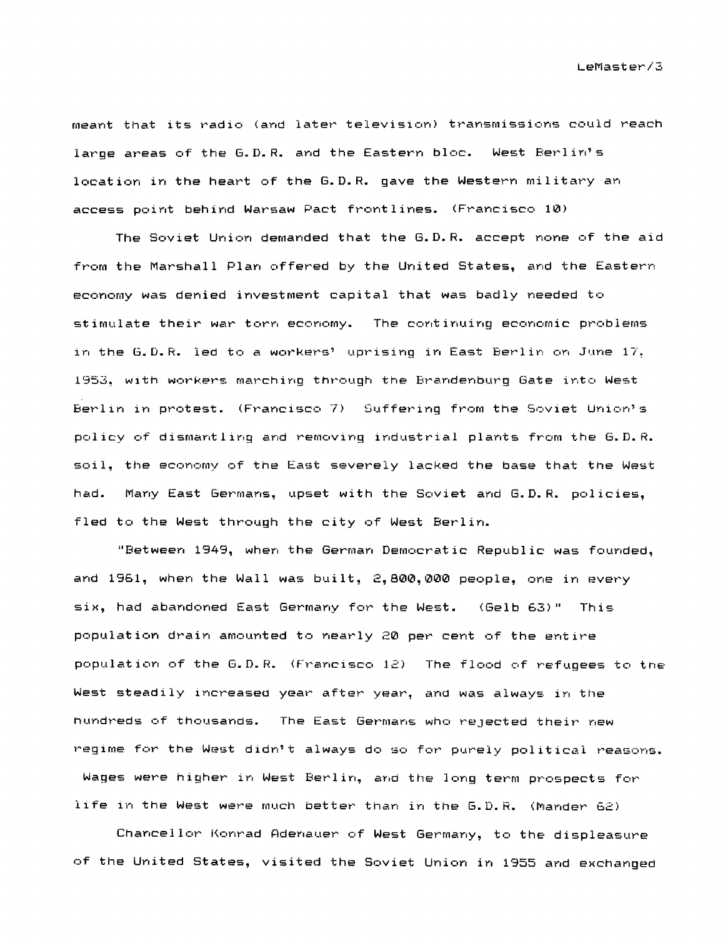meant that its radio (and later television) transmissions could reach large areas of the G.D.R. and the Eastern bloc. West Berlin's location in the heart of the G.D.R. gave the Western military an access point behind Warsaw Pact frontlines. (Francisco 10)

The Soviet Union demanded that the G.D.R. accept none of the aid from the Marshall Plan offered by the United States, and the Eastern economy was denied investment capital that was badly needed to stimulate their war torn economy. The continuing economic problems in the G.D.R. led to a workers' uprising in East Berlin on June  $17.$ 1953, with workers marching through the Brandenburg Gate into West Berlin in protest. (Francisco 7) Suffering from the Soviet Union's policy of dismantling and removing industrial plants from the G.D.R. soil, the economy of the East severely lacked the base that the West had. Many East Germans, upset with the Soviet and G.D.R. policies, fled to the West through the city of West Berlin.

"Between 1949, when the German Democratic Republic was founded, and 1'361, when the Wall was built, 2,800,000 people, one in every six, had abandoned East Germany for the West.  $(Ge1b 63)$ " This population drain amounted to nearly 20 per cent of the entire population of the G.D.R. (Francisco  $12$ ) The flood of refugees to the West steadily increased year after year, and was always in the nundreds of thousands. The East Germans who rejected their new regime for the West didn't always do so for purely political reasons. Wages were higher in West Berlin, and the long term prospects for life in the West were much better than in the G.D.R. (Mander 62)

Chancellor Konrad Adenauer of West Germany, to the displeasure of the United States, visited the Soviet Union in 1955 and exchanged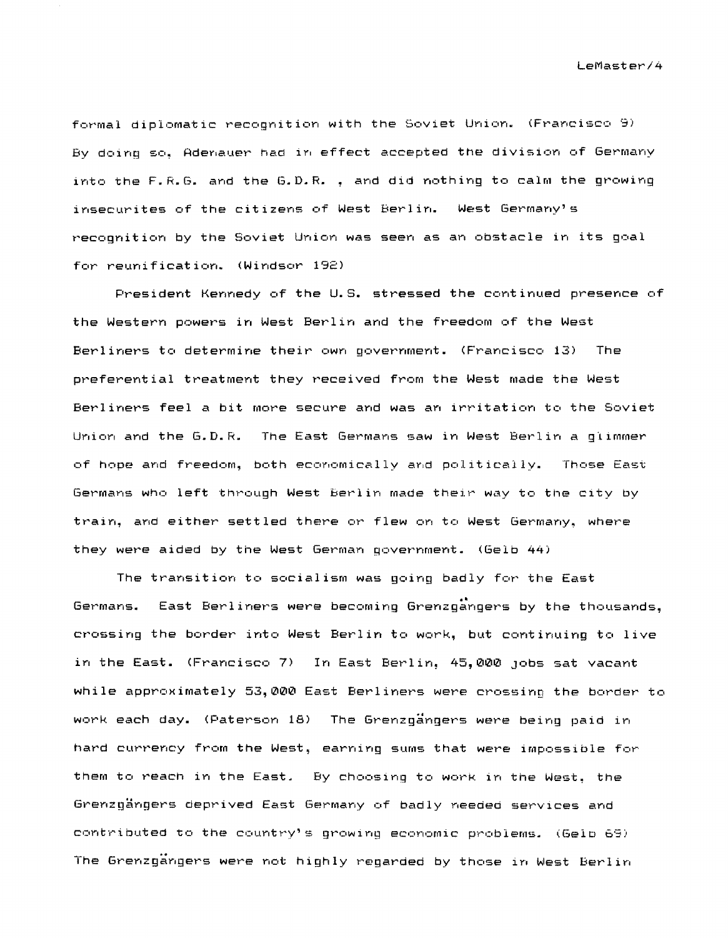formal diplomatic recognition with the Soviet Union. (Francisco 9) By doing so. Aderlauer had in effect accepted the division of Germany into the F.R. G. and the G.D.R. . and did nothing to calm the growing insecurites of the citizens of West Berlin. recognition by the Soviet Union was seen as an obstacle in its goal for reunification. (Windsor 192)

President Kennedy of the U.S. stressed the continued presence of the Western powers in West Berlin and the freedom of the West Berliners to determine their own government. (Francisco 13) The preferential treatment they received from the West made the West Berliners feel a bit more secure and was an irritation to the Soviet Union and the G.D.R. The East Germans saw in West Berlin a glimmer of hope and freedom, both economically and politically. Those East Germans who left through West berlin made their way to the city by train, and either settled there or flew on to West Germany, where they were aided by the West German government. (Gelb 44)

The transition to socialism was going badly for the East Germans. East Berliners were becoming Grenzgangers by the thousands, crossing the border into West Berlin to work, but continuing to live in the East. (Francisco 7) In East Berlin, 45,000 jobs sat vacant while approximately 53,000 East Berliners were crossing the border to work each day. (Paterson 18) The Grenzgängers were being paid in hard currency from the West, earning sums that were impossible for them to reach in the East. By choosing to work in the West, the Grenzgängers deprived East Germany of badly needed services and contributed to the country's growing economic problems. (Gelp 69) The Grenzgangers were not highly regarded by those in West Berlin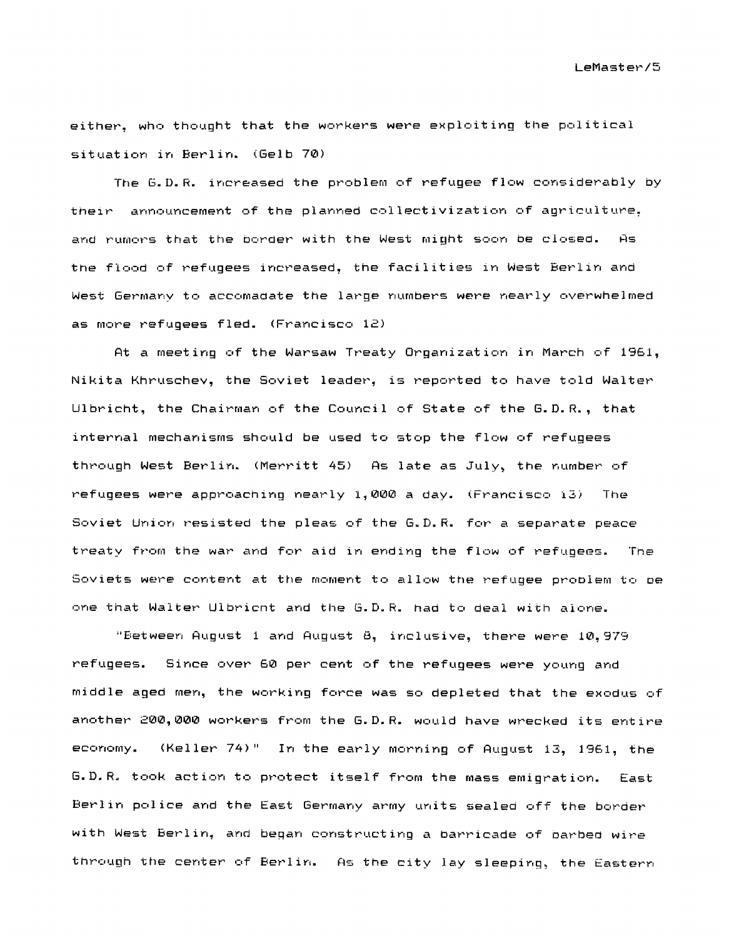LeMast e~~/5

either, who thought that the workers were exploiting the political situation in Berlin. (Gelb 70)

The G.D.R. increased the problem of refugee flow considerably by their announcement of the planned collectivization of agriculture, and rumors that the border with the West might soon be closed. As the flood of refugees increased, the facilities in West Berlin and West Germany to accomaaate the large numbers were nearly overwhelmed as more refugees fled. (Francisco 12)

At a meeting of the Warsaw Treaty Organization in March of 1961, Nikita Khruschev, the Soviet leader, is reported to have told Walter Ulbricht, the Chairman of the Council of State of the G.D.R., that internal mechanisms should be used to stop the flow of refugees through West Berlin. (Merritt 45) As late as July, the number of refugees were approaching nearly 1,000 a day. (Francisco i3) The Soviet Union resisted the pleas of the G.D.R. for a separate peace treaty from the war and for aid in ending the flow of refugees. The Soviets were content at ttle moment to allow the refugee proolem to oe one that Walter Ulbricnt and the G.D.R. had to deal with alone.

"Between August 1 and August 8, inclusive, there were 10,979 ~~efugees. Since over 60 per cent of the refugees were young and middle aged men, the working force was so depleted that the exodus of another 200,000 workers from the G.D.R. would have wrecked its entire economy. (Keller 74)" In the early morning of August 13, 1961, the G.D.R. took action to protect itself from the mass emigration. East Berlin police and the East Germany army units sealed off the border with West Berlin, and began constructing a barricade of barbed wire through the center of Berlin. As the city lay sleeping, the Eastern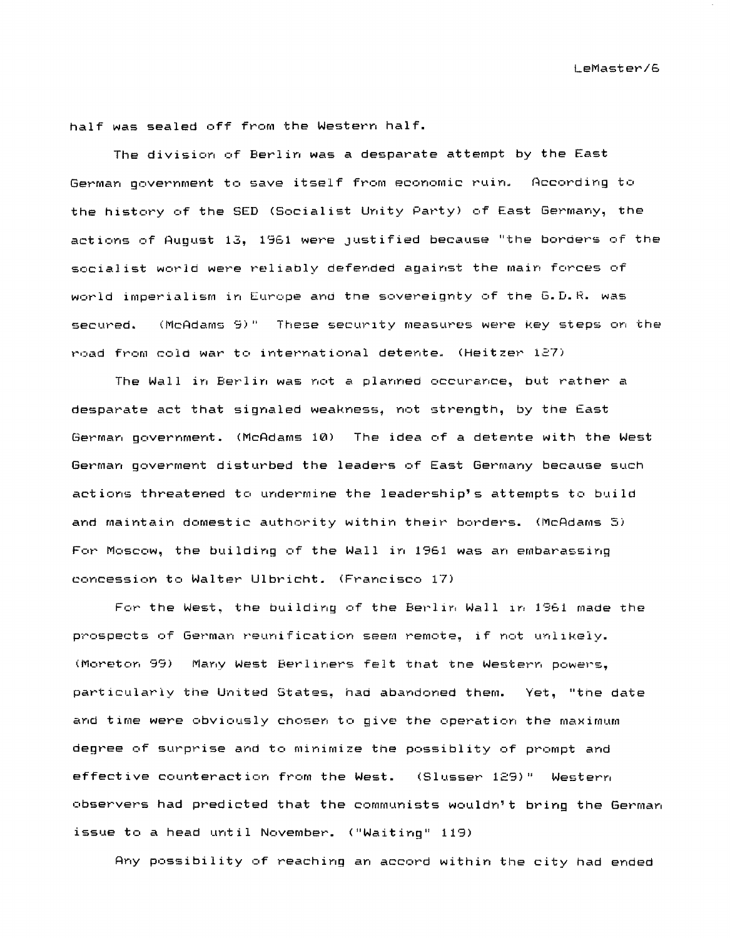half was sealed off from the Western half.

The division of Berlin was a desparate attempt by the East German government to save itself from economic ruin. the history of the SED (Socialist Unity Party) of East Germany, the actions of August 13, 1961 were justified because "the borders of the socialist world were reliably defended against the main forces of world imperialism in Europe and the sovereignty of the G.D.R. was secured. (McAdams 9)" These security measures were key steps on the road from cold war to international detente. (Heitzer 127)

The Wall in Berlin was not a planned occurance, but rather a desparate act that signaled weakness, not strength, by the East German government. (McAdams 10) The idea of a detente with the West German goverment disturbed the leaders of East Germany because such actions threatened to undermine the leadership's attempts to build and maintain domestic authority within their borders. (McAdams 5) For Moscow, the building of the Wall in 1961 was an embarassing concession to Walter Ulbricht. (Francisco 17)

For the West, the building of the Berlin Wall in 1961 made the prospects of German reunification seem remote, if not unlikely. Many West Berliners felt that tne Western powers, particularly the United States. had abandoned them. Yet, "the date and time were obviously chosen to give the operation the maximum degree of surprise and to minimize the possiblity of prompt and effective counteraction from the West. (Slusser 129)" Western observers had predicted that the communists wouldn't bring the German issue to a head until November. ("Waiting" 119)

Any possibility of reaching an accord within the city had ended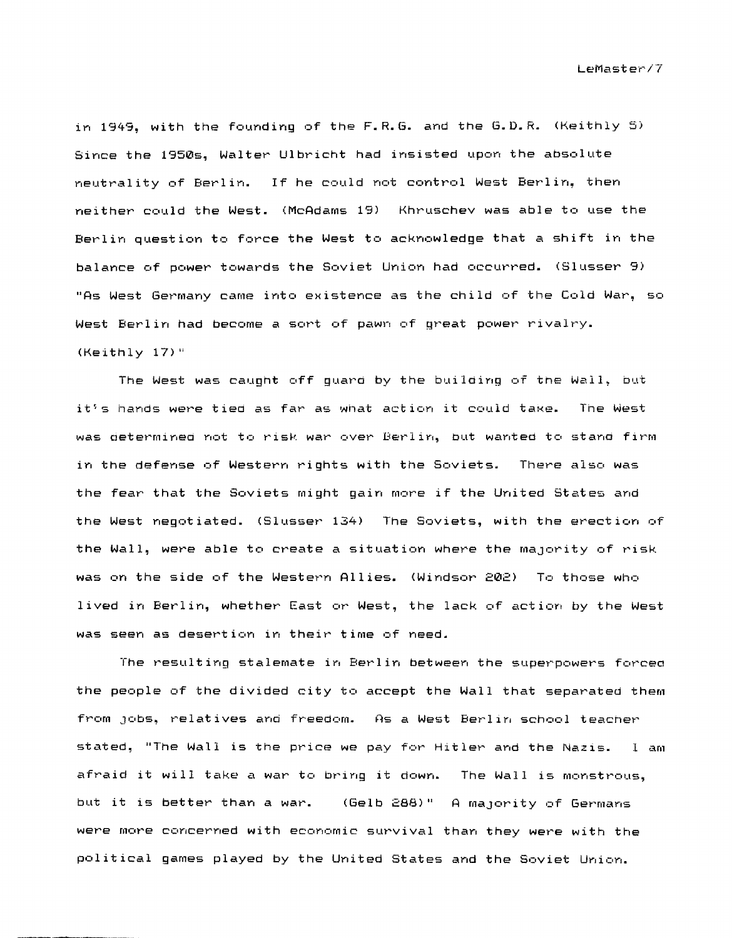in 1949, with the founding of the F.R.G. and the G.D.R. (Keithly 5) Since the 1950s, Walter Ulbricht had insisted upon the absolute neutrality of Berlin. If he could not control West Berlin, then neither could the West. (McAdams 19) Khruschev was able to use the Berlin question to force the West to acknowledge that a shift in the balance of power towards the Soviet Union had occurred. (Slusser 9) "As West Germany came into existence as the child of the Cold War, so West Berlin had become a sort of pawn of great power rivalry. (Keithly 17)"

The West was caught off guard by the building of the Wall, but it's hands were tied as far as what action it could take. The West was determined not to risk war over Berlin, but wanted to stand firm in the defense of Western rights with the Soviets. There also was the fear that the Soviets might gain more if the United States and the West negotiated. (Slusser 134) The Soviets, with the erection of the Wall, were able to create a situation where the majority of risk was on the side of the Western Allies. (Windsor 202) To those who lived in Berlin, whether East or West, the lack of action by the West was seen as desertion in their time of need.

The resulting stalemate in Berlin between the superpowers forcea the people of the divided city to accept the Wall that separated them from Jobs, relatives and freedom. As a West Berlin school teacner stated, "The Wall is the price we pay for Hitler and the Nazis. I am afraid it will take a war to bring it down. The Wall is monstrous, but it is better than a war. (Gelb 288)" A majority of Germans were more concerned with economic survival than they were with the political games played by the United States and the Soviet Union.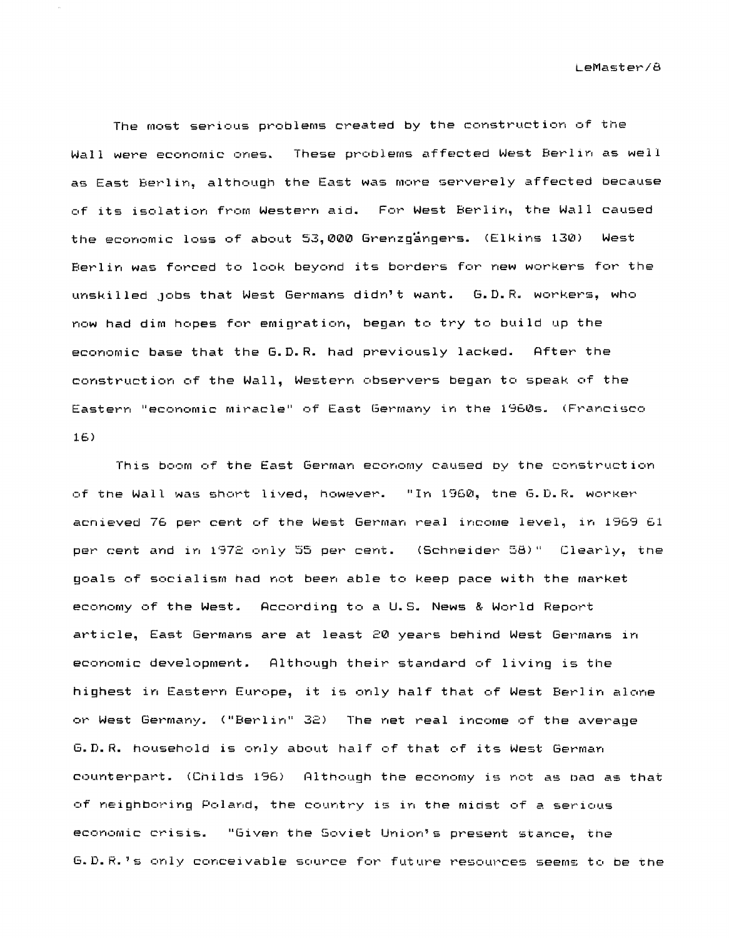The most serious problems created by the construction of the Wall were economic ones. These problems affected West Berlin as well as East Berlin, although the East was more serverely affected because of its isolation from Western aid. For West Berlin, the Wall caused the economic loss of about 53,000 Grenzgängers. (Elkins 130) West Berlin was forced to look beyond its borders for new workers for the unskilled Jobs that West Germans didn't want. G.D.R. workers, who now had dim hopes for emigration, began to try to build up the economic base that the G.D.R. had previously lacked. After the construction of the Wall, Western observers began to speak of the Eastern "economic miracle" of East Germany in the 1960s. (Francisco 16)

This boom of the East German economy caused by the construction of the Wall was short lived, however. "In 1960, the G.D.R. worker achieved 76 per cent of the West German real income level, in 1969 61 per cent and in 1972 only 55 per cent. (Schneider 58)" Clearly, the goals of socialism had not been able to keep pace with the market economy of the West. According to a U.S. News & World Report article, East Germans are at least 20 years behind West Germans in economic development. Although their standard of living is the highest in Eastern Europe, it is only half that of West Berlin alone or West Germany. ("Berlin" 32) The net real income of the average G.D.R. household is only about half of that of its West German counterpart. (Childs 196) Although the economy is not as bad as that of neighboring Poland, the country is in the midst of a serious economic crisis. "Given the Soviet Union's present stance, the G.D.R.'s only conceivable source for future resources seems to be the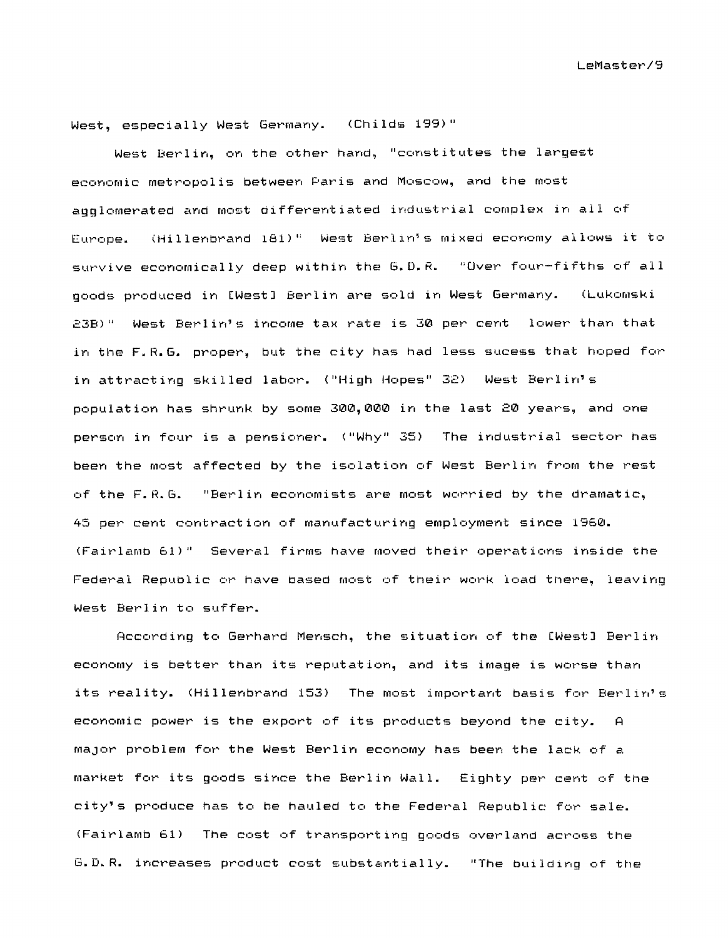West, especially West Germany. (Childs 199)"

West Berlin, on the other hand, "constitutes the largest economic metropolis between Paris and Moscow, and the most agglomerated and most differentiated industrial complex in all of Europe. (Hillenbrand 181)" West Berlin's mixed economy allows it to survive economically deep within the G.D.R. "Over four-fifths of all goods produced in [West] Berlin are sold in West Germany. (Lukomski  $23B)$ " West Berlin's income tax rate is 30 per cent lower than that in the F.R.G. proper, but the city has had less sucess that hoped for in attracting skilled labor. ("High Hopes" 32) West Berlin's population has shrunk by some 300,000 in the last 20 years, and one person in four is a pensioner. ("Why" 35) The industrial sector has been the most affected by the isolation of West Berlin from the rest of the  $F.R.G.$  "Berlin economists are most worried by the dramatic, 45 per cent contraction of manufacturing employment since 1960. (Fairlamb 61)" Several firms have moved their operations inside the Federal Republic or have based most of their work load there, leaving West Berlin to suffer.

According to Gerhard Mensch, the situation of the [West] Berlin economy is better than its reputation, and its image is worse than its reality. (Hillenbrand 153) The most important basis for Berlin's economic power is the export of its products beyond the city. A major problem for the West Berlin economy has been the lack of a market for its goods since the Berlin Wall. Eighty per cent of the city's produce has to be hauled to the Federal Republic for sale. (Fairlamb 61) The cost of transporting goods overland across the G.D.R. increases product cost substantially. "The building of the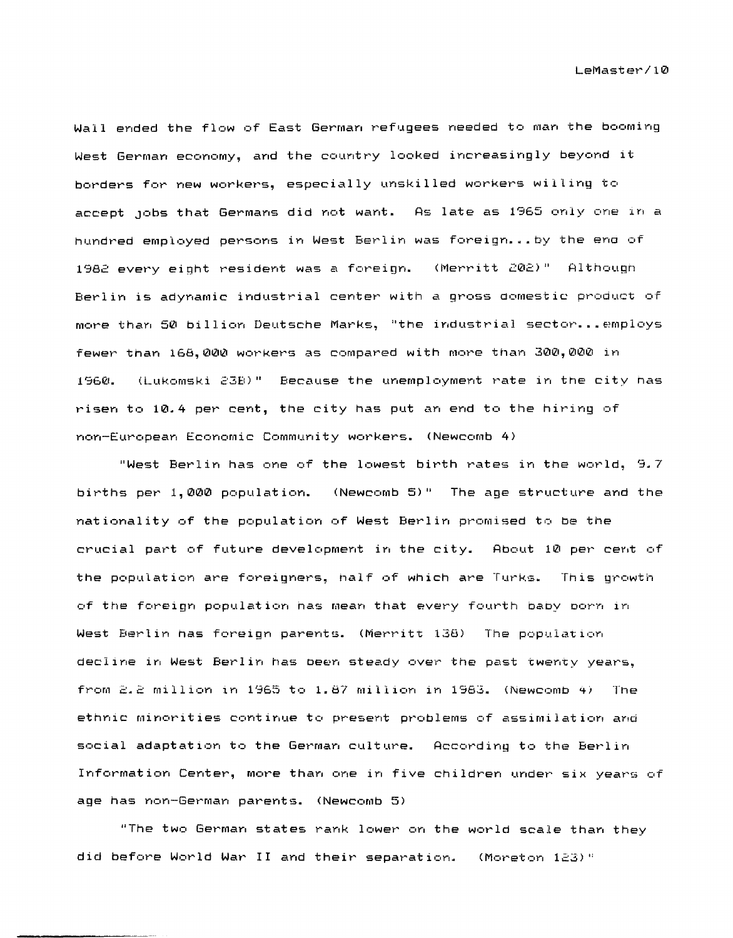Wall ended the flow of East German refugees needed to man the booming West German economy, and the country looked increasingly beyond it borders for new workers, especially unskilled workers willing to accept jobs that Germans did not want. As late as 1965 only one in a hundred employed persons in West Berlin was foreign...by the end of 1982 every eight resident was a foreign. (Merritt 202)" Although Berlin is adynamic industrial center with a gross domestic product of more than 50 billion Deutsche Marks, "the industrial sector...employs fewer than 168,000 workers as compared with more than 300,000 in (Lukomski 23B)" Because the unemployment rate in the city has 1560. risen to 10.4 per cent, the city has put an end to the hiring of non-European Economic Community workers. (Newcomb 4)

"West Berlin has one of the lowest birth rates in the world, 9.7 births per 1.000 population. (Newcomb 5)" The age structure and the nationality of the population of West Berlin promised to be the crucial part of future development in the city. About 10 per cent of the population are foreigners, half of which are Turks. This growth of the foreign population has mean that every fourth baby porn in West Berlin has foreign parents. (Merritt 138) The population decline in West Berlin has been steady over the past twenty years. from 2.2 million in 1965 to 1.87 million in 1983. (Newcomb 4) The ethnic minorities continue to present problems of assimilation and social adaptation to the German culture. According to the Berlin Information Center, more than one in five children under six years of age has non-German parents. (Newcomb 5)

"The two German states rank lower on the world scale than they did before World War II and their separation. (Moreton 123)"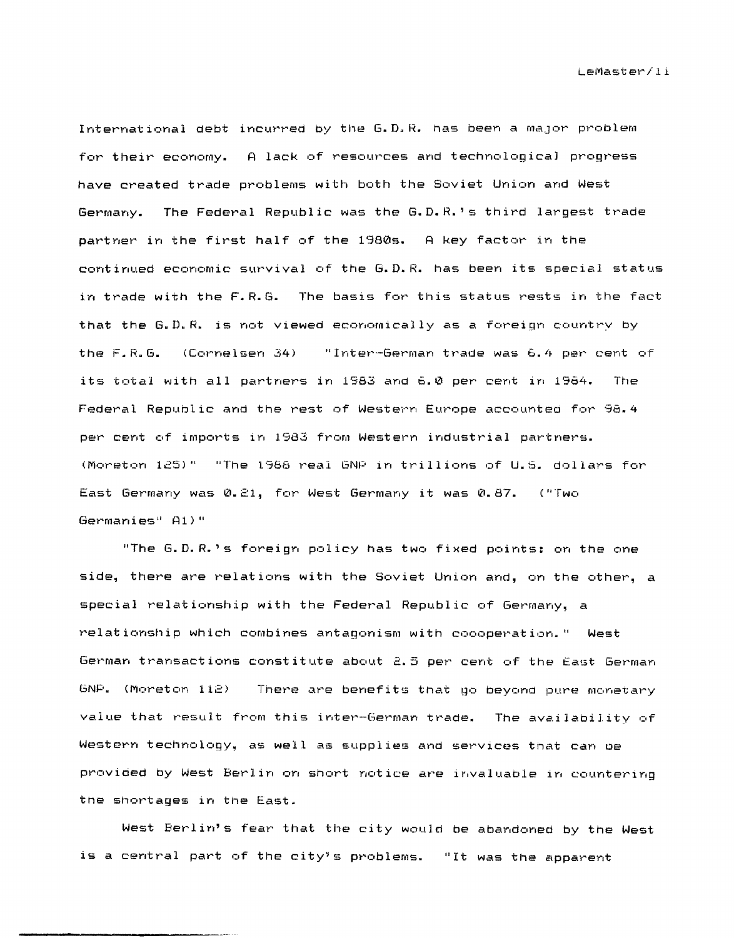International debt incurred by the G.D.R. has been a major problem for their economy. A lack of resources and technological progress have created trade problems with both the Soviet Union and West Germany. The Federal Republic was the G.D.R.'s third largest trade partner in the first half of the 1980s. A key factor in the continued economic survival of the G.D.R. has been its special status in trade with the F.R.G. The basis for this status rests in the fact that the G.D.R. is not viewed economically as a foreign country by the  $F.R.B.$  (Cornelsen  $34$ ) "Inter-German trade was 6.4 per cent of its total with all partners in 1983 and 6.0 per cent in 1984. The Federal Republic and the rest of Western Europe accounted for 98.4 per cent of imports in 1983 from Western industrial partners. (Moreton 125)" "The 1988 real GNP in trillions of U.S. dollars for East Germany was 0.21, for West Germany it was 0.87. ("Two Germanies" A1)"

"The G.D.R.'s foreign policy has two fixed points: on the one side, there are relations with the Soviet Union and, on the other, a special relationship with the Federal Republic of Germany, a relationship which combines antagonism with coooperation." West German transactions constitute about 2.5 per cent of the East German GNP. (Moreton 112) There are benefits that go beyond pure monetary value that result from this inter-German trade. The availability of Western technology, as well as supplies and services that can be provided by West Berlin on short notice are invaluable in countering the shortages in the East.

West Berlin's fear that the city would be abandoned by the West is a central part of the city's problems. "It was the apparent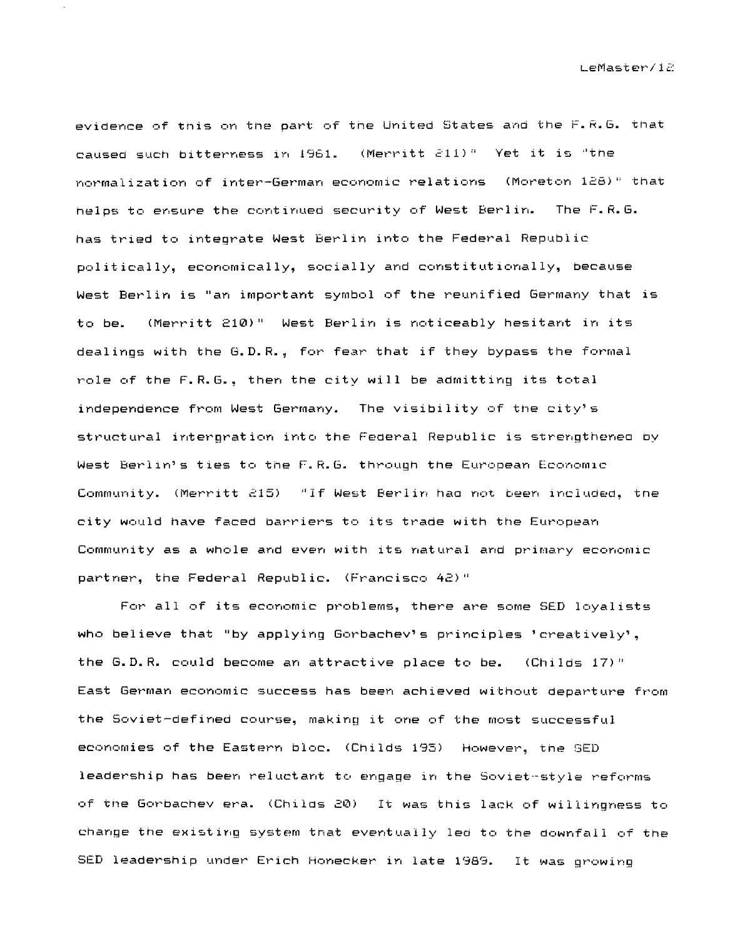evidence of this on the part of the United States and the F.R.G. that caused such bitterness in 1961. (Merritt 211)" Yet it is "the normalization of inter-German economic relations (Moreton 128)" that helps to ensure the continued security of West Berlin. The F.R.G. has tried to integrate West Berlin into the Federal Republic politically, economically, socially and constitutionally, because West Berlin is "an important symbol of the reunified Germany that is (Merritt 210)" West Berlin is noticeably hesitant in its to be. dealings with the G.D.R., for fear that if they bypass the formal role of the F.R.G., then the city will be admitting its total independence from West Germany. The visibility of the city's structural interpration into the Federal Republic is strengthened by West Berlin's ties to the F.R.G. through the European Economic Community. (Merritt 215) "If West Berlin had not been included, the city would have faced barriers to its trade with the European Community as a whole and even with its natural and primary economic partner, the Federal Republic. (Francisco 42)"

For all of its economic problems, there are some SED loyalists who believe that "by applying Gorbachev's principles 'creatively', the G.D.R. could become an attractive place to be. (Childs 17)" East German economic success has been achieved without departure from the Soviet-defined course, making it one of the most successful economies of the Eastern bloc. (Childs 195) However, the SED leadership has been reluctant to engage in the Soviet-style reforms of the Gorbachev era. (Childs 20) It was this lack of willingness to change the existing system that eventually led to the downfall of the SED leadership under Erich Honecker in late 1989. It was growing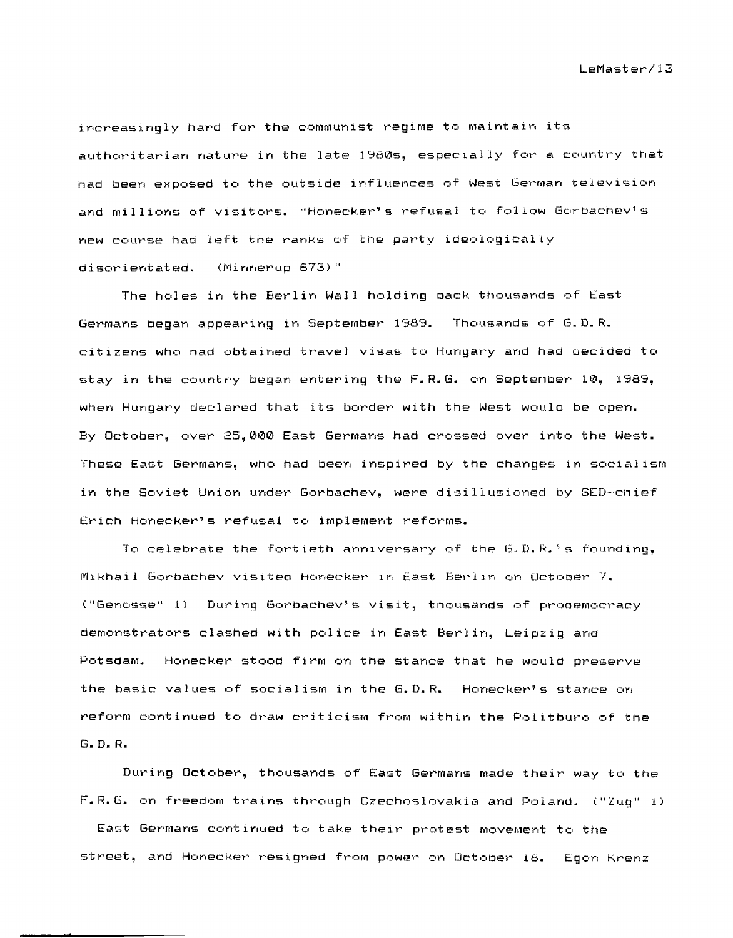increasingly hard for the communist regime to maintain its authoritarian nature in the late 1980s, especially for a country tnat had been exposed to the outside influences of West German television and millions of visitors. "Honecker's refusal to follow Gorbachev's new course had left the ranks of the party ideologically disorientated. (Minnerup 673)"

The holes in the Berlin Wall holding back thousands of East Germans began appearing in September 1989. Thousands of G.D.R. citizens who had obtained travel visas to Hungary and had decided to stay in the country began entering the F.R.G. on September 10, 1989, when Hungary declared that its border with the West would be open. By October~ over 25,000 East Germans had crossed over into the West. These East Germans, who had been inspired by the changes in socialism in the Soviet Union under Gorbachev, were disillusioned by SED-'chief Erich Honecker's refusal to implement reforms.

To celebrate the fortieth anniversary of the G.D.R.'s founding, Mikhail Gorbachev visited Honecker in East Berlin on October 7. ("Genosse" 1) During Gorbachev's visit, thousands of prodemocracy demonstrators clashed with police in East Berlin, Leipzig and Potsdam. Honecker stood firm on the stance that he would preserve the basic values of socialism in the G.D.R. Honecker's stance on reform continued to draw criticism from within the Politburo of the G. D. R.

During October, thousands of East Germans made their way to the F.R.G. on freedom trains through Czechoslovakia and Poland. ("Zug" 1)

East Germans continued to take their protest movement to the street, and Honecker resigned from power on October 18. Egon Krenz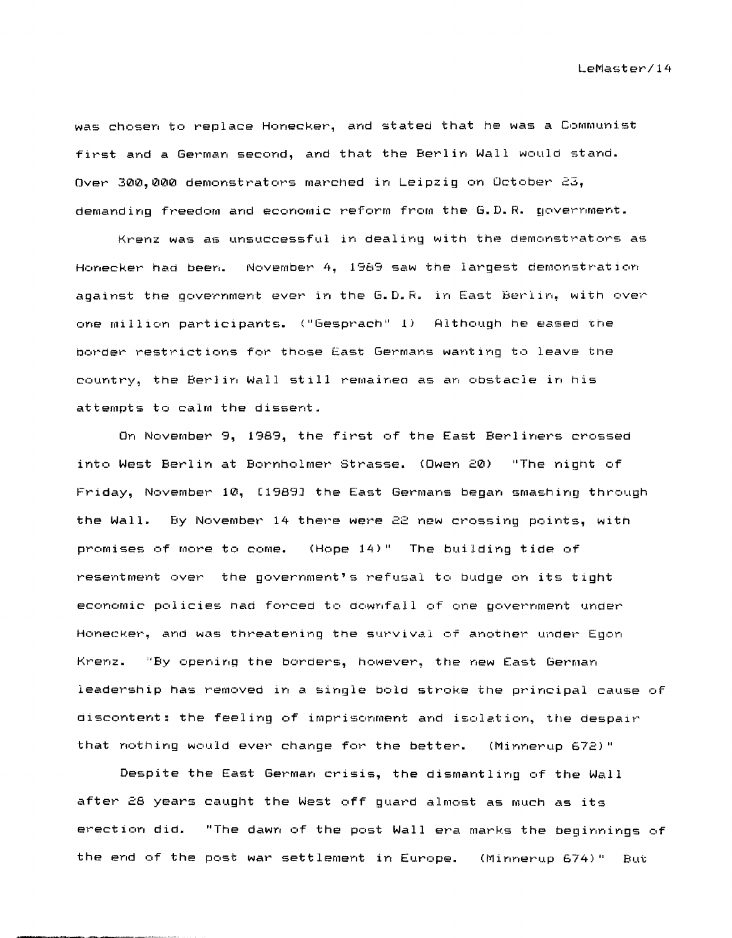was chosen to replace Honecker, and stated that he was a Communist first and a German second, and that the Berlin Wall would stand. Over 300,000 demonstrators marched in Leipzig on October 23, demanding freedom and economic reform from the G.D.R. government.

Krenz was as unsuccessful in dealing with the demonstrators as Honecker had been. November 4, 1989 saw the largest demonstrati0n against tne government ever in the G.D.R. in East Berlin, with over one million participants. ("Gesprach" 1) Although he eased the border restrictions for those East Germans wanting to leave tne country, the Berlin Wall still remainea as an obstacle in his attempts to calm the dissent.

On November 9, 1989, the first of the East Berliners crossed into West Berlin at Bornholmer Strasse. (Owen 20) "The night of Friday, November 10, [1989J the East Germans began smashing through the Wall. By November 14 there were 22 new crossing points, with promises of more to come. (Hope 14)" The building tide of resentment over the government's refusal to budge on its tight economic policies had forced to downfall of one government under Honecker, and was threatening tne survival of another under Egon Krenz. "By opening the borders, however, the new East German leadership has removed in a single bold stroke the principal cause of discontent: the feeling of imprisonment and isolation, the despair that nothing would ever change for the better.

Despite the East German crisis, the dismantling of the Wall after 28 years caught the West off guard almost as much as its erection did. "The dawn of the post Wall era marks the beginnings of the end of the post war settlement in Europe. (Minnerup 674)" But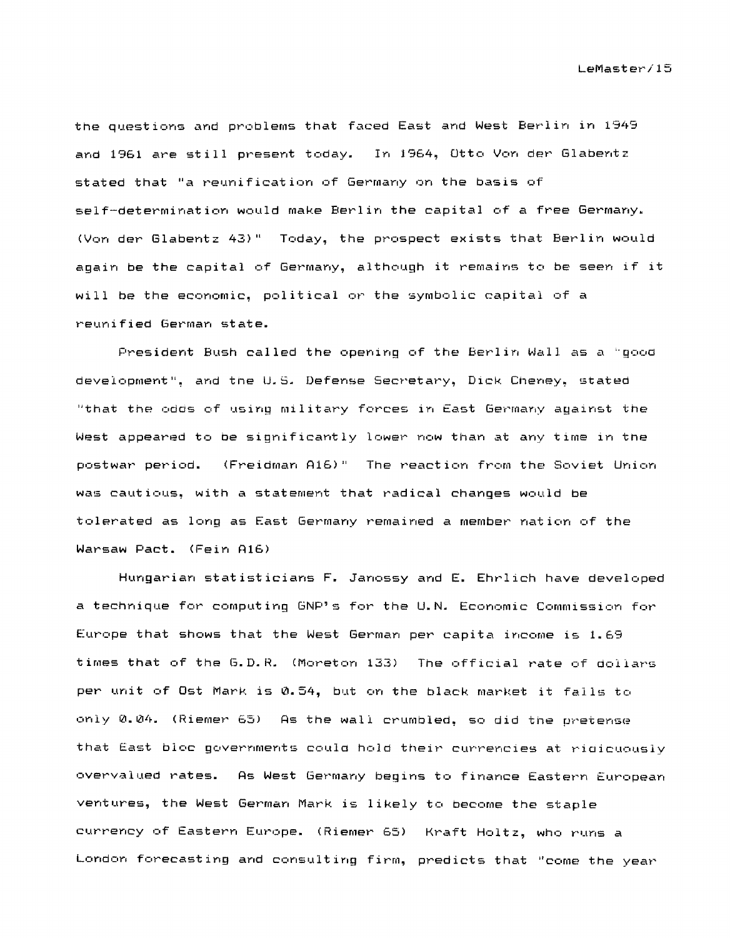the questions and problems that faced East and West Berlin in 1949 and 1961 are still present today. In 1964, Otto Von der Glabentz stated that "a reunification of Germany on the basis of self-determination would make Berlin the capital of a free Germany. (Von der Glabentz 43)" Today, the prospect exists that Berlin would again be the capital of Germany, although it remains to be seen if it will be the economic, political or the symbolic capital of a reunified German state.

President Bush called the opening of the Berlin Wall as a "good development", and the U.S. Defense Secretary, Dick Cheney, stated "that the odds of using military forces in East Germany against the West appeared to be significantly lower now than at any time in the postwar period. (Freidman A16)" The reaction from the Soviet Union was cautious, with a statement that radical changes would be tolerated as long as East Germany remained a member nation of the Warsaw Pact. (Fein A16)

Hungarian statisticians F. Janossy and E. Ehrlich have developed a technique for computing GNP's for the U.N. Economic Commission for Europe that shows that the West German per capita income is 1.69 times that of the G.D.R. (Moreton 133) The official rate of dollars per unit of Ost Mark is 0.54, but on the black market it falls to only 0.04. (Riemer 65) As the wall crumbled, so did the pretense that East bloc governments could hold their currencies at ridicuously overvalued rates. As West Germany begins to finance Eastern European ventures, the West German Mark is likely to become the staple currency of Eastern Europe. (Riemer 65) Kraft Holtz, who runs a London forecasting and consulting firm, predicts that "come the year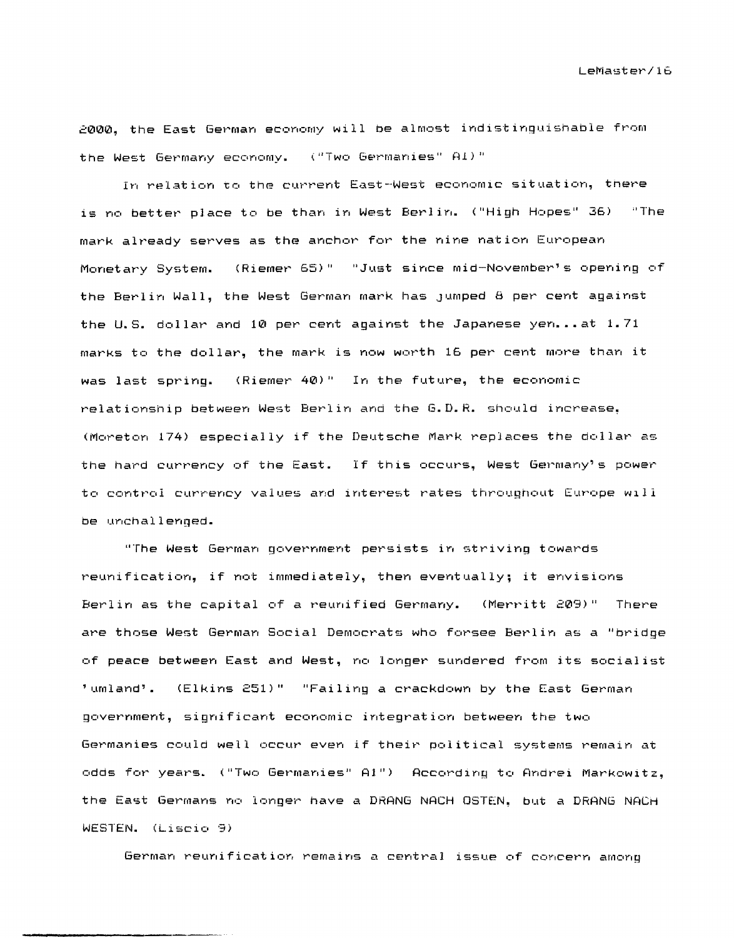2000, the East German economy will be almost indistinguishable from the West Germany economy. ("Two Germanies" Al)"

In relation to the current East-West economic situation, there is no better place to be than in West Berlin. ("High Hopes" 36) "The mark already serves as the anchor for the nine nation European Monetary System. (Riemer 65)" "Just since mid-November's opening of the Berlin Wall, the West German mark has Jumped 8 per cent against the U.S. dollar and  $10$  per cent against the Japanese yen...at  $1.71$ marks to the dollar, the mark is now worth 16 per cent more than it was last spring. (Riemer 40)" In the future, the economic relationship between West Berlin and the G.D.R. should increase. (Moreton 174) especially if the Deutsche Mark replaces the dollar as the hard currency of the East. If this occurs, West Germany's power to control currency values and interest rates throughout Europe WIll be unchallenged.

"The West German government persists in striving towards reunification, if not immediately, then eventually; it envisions Berlin as the capital of a reunified Germany. (Merritt 209)" There are those West German Social Democrats who forsee Berlin as a "bridge of peace between East and West, no longer sundered from its socialist 'umland'. (Elkins 251)" "Failing a crackdown by the East German government, significant economic integration between the two Germanies could well occur even if their political systems remain at odds for years. ("Two Germanies" A1") According to Andrei Markowitz, the East Germans no longer have a ORANG NACH OSTEN, but a ORANG NACH WESTEN. (Liscio 9)

German reunification remains a central issue of concern among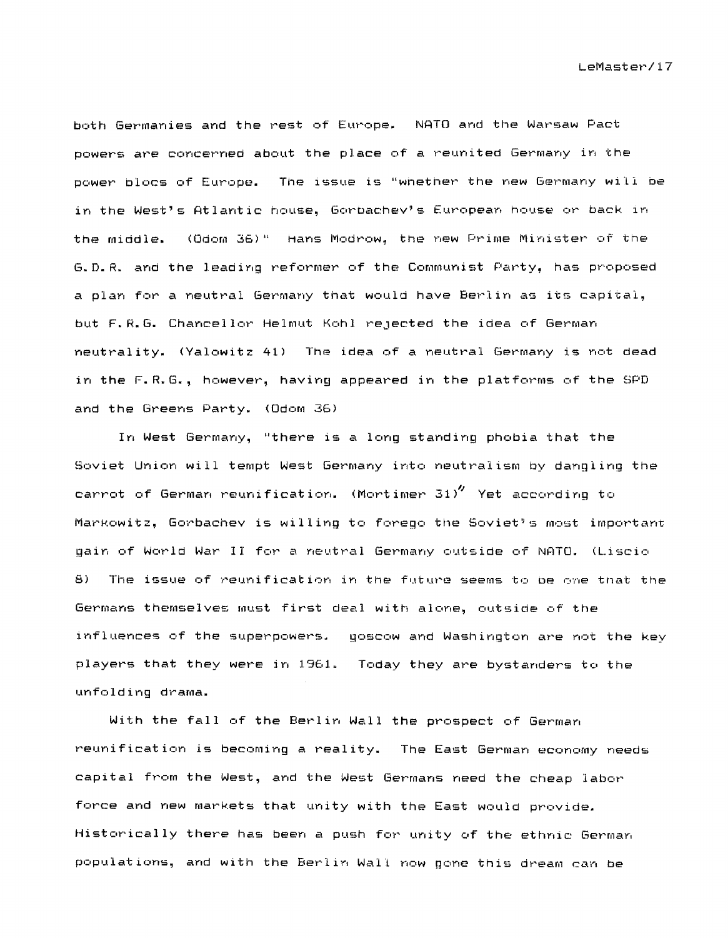both Germanies and the rest of Europe. NATO and the Warsaw Pact powers are concerned about the place of a reunited Germany in the power blocs of Europe. The issue is "whether the new Germany will be in the West's Atlantic house, Gorbachev's European house or back in the middle. (Odom 36)" Hans Modrow, the new Prime Minister of the G.D.R. and the leading reformer of the Communist Party, has proposed a plan for a neutral Germany that would have Berlin as its capital, but F.R.G. Chancellor Helmut Kohl rejected the idea of German neutrality. (Yalowitz 41) The idea of a neutral Germany is not dead in the F.R.G., however, having appeared in the platforms of the SPD and the Greens Party. (Odom 36)

In West Germany, "there is a long standing phobia that the Soviet Union will tempt West Germany into neutralism by dangling the carrot of German reunification. (Mortimer 31) $''$  Yet according to Markowitz, Gorbachev is willing to forego the Soviet's most important gain of World War II for a neutral Germany outside of NATO. (Liscio 8) The issue of reunification in the future seems to be one that the Germans themselves must first deal with alone, outside of the influences of the superpowers. goscow and WaShington are not the key players that they were in 1961. Today they are bystanders to the unfolding drama.

With the fall of the Berlin Wall the prospect of German reunification is becoming a reality. The East German economy needs capital from the West, and the West Germans need the cheap labor force and new markets that unity with the East would provide. Historically there has been a push for unity of the ethnic German populations, and with the Berlin Wall now gone this dream can be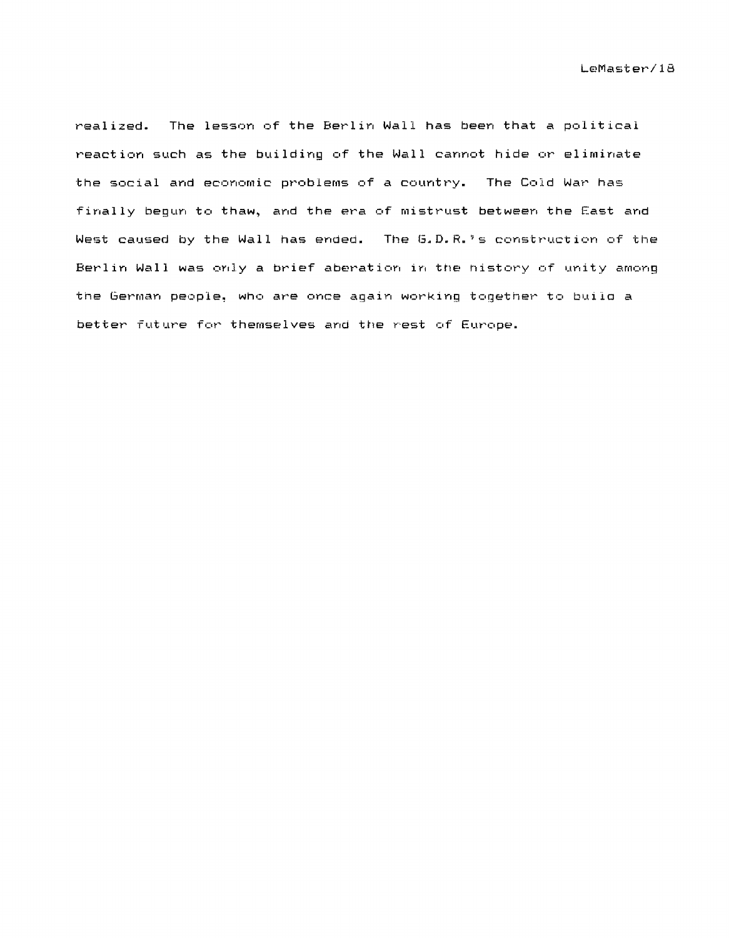realized. The lesson of the Berlin Wall has been that a political reaction such as the building of the Wall cannot hide or eliminate the social and economic problems of a country. The Cold War has finally begun to thaw, and the era of mistrust between the East and West caused by the Wall has ended. The G.D.R.'s construction of the Berlin Wall was orlly a brief aberation in tne nistory of unity among the German people, who are once again working together to buila a better future for themselves and the rest of Europe.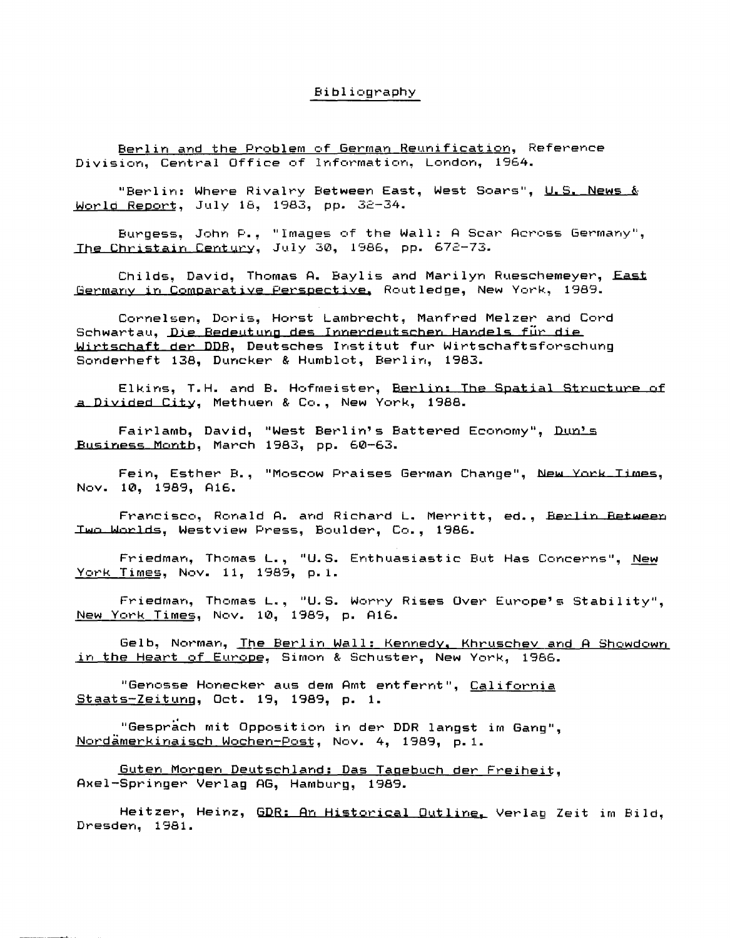## Bibliography

Berlin and the Problem of German Reunification, Reference Division, Central Office of Information, London, 1964.

"Berlin: Where Rivalry Between East, West Soars", U.S. News & World Report, July 18, 1983, pp. 32-34.

Burgess, John P.. "Images of the Wall: A Scar Across Germany", The Christain Century, July 30, 1986, pp. 672-73.

Childs, David, Thomas A. Baylis and Marilyn Rueschemeyer, East Germany in Comparative Perspective, Routledge, New York, 1989.

Cornelsen, Doris, Horst Lambrecht, Manfred Melzer and Cord Schwartau. Die Bedeutung des Innerdeutschen Handels für die Wirtschaft der DDB, Deutsches Institut fur Wirtschaftsforschung Sonderheft 138, Duncker & Humblot, Berlin, 1983.

Elkins, T.H. and B. Hofmeister, Berlin: The Spatial Structure of a Divided City, Methuen & Co., New York, 1988.

Fairlamb, David, "West Berlin's Battered Economy", Dun's Business Month, March 1983, pp. 60-63.

Fein, Esther B., "Moscow Praises German Change", New York Times, Nov. 10, 1989, A16.

Francisco, Ronald A. and Richard L. Merritt, ed., Berlin Between Two Worlds, Westview Press, Boulder, Co., 1986.

Friedman, Thomas L., "U.S. Enthuasiastic But Has Concerns", New York Times, Nov. 11, 1989, p.1.

Friedman, Thomas L., "U.S. Worry Rises Over Europe's Stability", New York Times, Nov. 10, 1989, p. A16.

Gelb, Norman, The Berlin Wall: Kennedy, Khruschev and A Showdown in the Heart of Europe, Simon & Schuster, New York, 1986.

"Genosse Honecker aus dem Amt entfernt", California Staats-Zeitung, Oct. 19, 1989, p. 1.

"Gesprach mit Opposition in der DDR langst im Gang". Nordämerkinaisch Wochen-Post, Nov. 4, 1989, p.1.

Guten Morgen Deutschland: Das Tagebuch der Freiheit. Axel-Springer Verlag AG, Hamburg, 1989.

Heitzer, Heinz, GDR: An Historical Outline, Verlag Zeit im Bild, Dresden, 1981.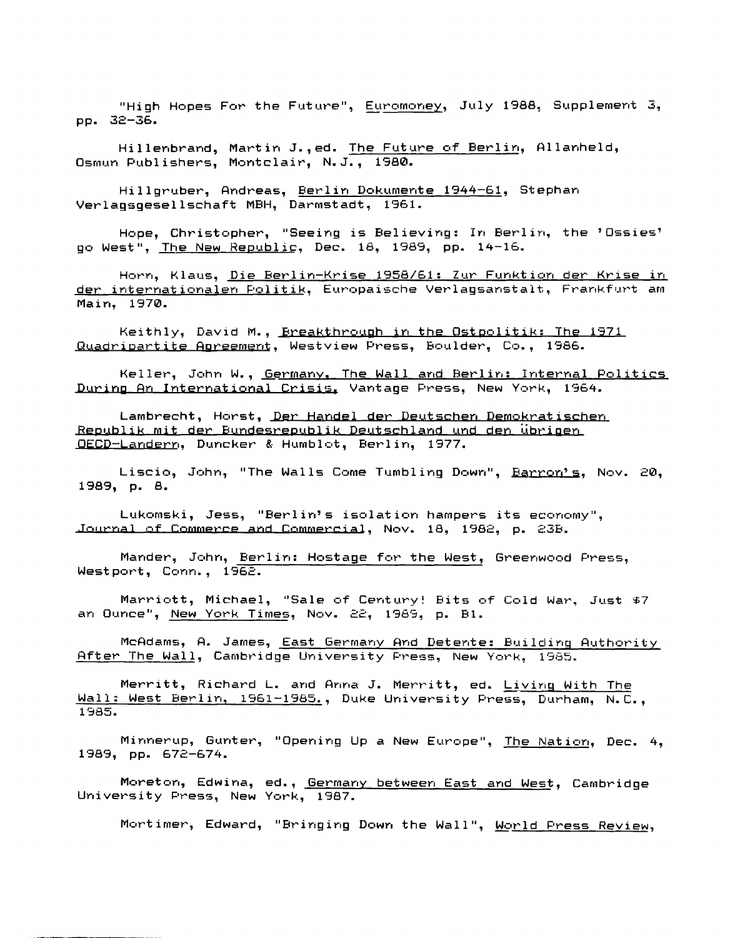"High Hopes For the Future", Euromoney, July 1988, Supplement 3, pp. 32-36.

Hillenbrand. Martin J., ed. The Future of Berlin, Allanheld, Osmun Publishers. Montclair. N.J., 1980.

Hillgruber, Andreas, Berlin Dokumente 1944-61, Stephan Verlansnesellschaft MBH, Darmstadt, 1961.

Hope, Christopher, "Seeing is Believing: In Berlin, the 'Ossies' go West", The New Republic, Dec. 18, 1989, pp. 14-16.

Horn, Klaus, Die Berlin-Krise 1958/61: Zur Funktion der Krise in der internationalen Politik, Europaische Verlagsanstalt, Frankfurt am Main, 1970.

Keithly, David M., Ereakthrough in the Ostpolitik: The 1971 Quadripartite Agreement, Westview Press, Boulder, Co., 1986.

Keller, John W., Germany, The Wall and Berlin: Internal Politics During An International Crisis, Vantage Press, New York, 1964.

Lambrecht, Horst, Der Handel der Deutschen Demokratischen Republik mit der Bundesrepublik Deutschland und den übrigen OECD-Landern, Duncker & Humblot, Berlin, 1977.

Liscio, John, "The Walls Come Tumbling Down", Barron's, Nov. 20, 1989, p. 8.

Lukomski, Jess, "Berlin's isolation hampers its economy", Journal of Commerce and Commercial, Nov. 18, 1982, p. 23B.

Mander, John, Berlin: Hostage for the West, Greenwood Press, Westport, Conn., 1962.

Marriott, Michael, "Sale of Century! Bits of Cold War, Just \$7 an Ounce", New York Times, Nov. 22, 1989, p. B1.

McAdams, A. James, East Germany And Detente: Building Authority After The Wall, Cambridge University Press, New York, 1985.

Merritt, Richard L. and Anna J. Merritt, ed. Living With The Wall: West Berlin, 1961-1985., Duke University Press, Durham, N.C., 1985.

Minnerup, Gunter, "Opening Up a New Europe", The Nation, Dec. 4, 1989, pp. 672-674.

Moreton, Edwina, ed., Germany between East and West, Cambridge University Press, New York, 1987.

Mortimer, Edward, "Bringing Down the Wall", World Press Review,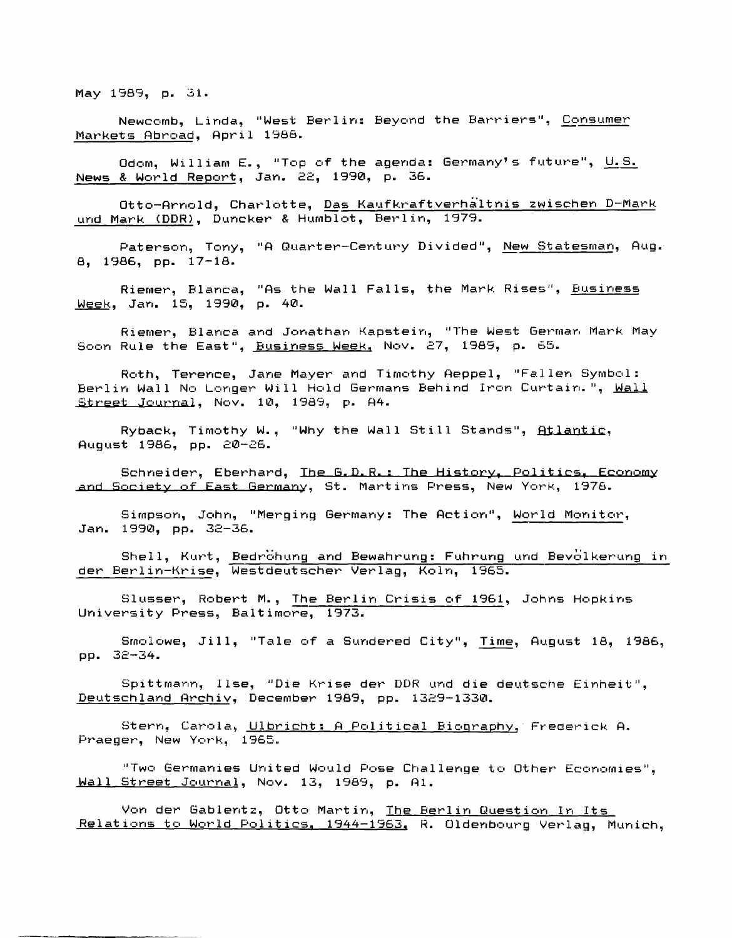May 1989, p. 31.

Newcomb, Linda, "West Berlin: Beyond the Barriers", Consumer Markets Abroad, April 1988.

Odom, William E., "Top of the agenda: Germany's future", U.S. News & World Report, Jan. 22, 1990, p. 36.

Otto-Arnold, Charlotte, Das Kaufkraftverhältnis zwischen D-Mark und Mark (DDR), Duncker & Humblot, Berlin, 1979.

Paterson, Tony, "A Quarter-Century Divided", New Statesman, Aug. 8, 1986, pp. 17-18.

Riemer, Blanca, "As the Wall Falls, the Mark Rises", Business Week, Jan. 15, 1990, p. 40.

Riemer, Blanca and Jonathan Kapstein, "The West German Mark May Soon Rule the East", Business Week, Nov. 27, 1989, p. 65.

Roth, Terence, Jane Mayer and Timothy Aeppel, "Fallen Symbol: Berlin Wall No Longer Will Hold Germans Behind Iron Curtain.", Wall Street Journal, Nov. 10, 1989, p. A4.

Ryback, Timothy W., "Why the Wall Still Stands", Atlantic, August 1986, pp. 20-26.

Schneider, Eberhard, Ihe G.D.R.: The History, Politics, Economy and Society of East Germany, St. Martins Press, New York, 1978.

Simpson, John, "Merging Germany: The Action", World Monitor, Jan. 1990, pp. 32-36.

Shell, Kurt, Bedrohung and Bewahrung: Fuhrung und Bevolkerung in der Berlin-Krise, Westdeutscher Verlag, Koln, 1965.

Slusser, Robert M., The Berlin Crisis of 1961, Johns Hopkins University Press, Baltimore, 1973.

Smolowe, Jill, "Tale of a Sundered City", Time, August 18, 1986, pp. 32-34.

Spittmann, Ilse, "Die Krise der DDR und die deutsche Einheit", Deutschland Archiv, December 1989, pp. 1329-1330.

Stern, Carola, Ulbricht: A Political Biography, Frederick A. Praeger, New York, 1965.

"Two Germanies United Would Pose Challenge to Other Economies". Wall Street Journal, Nov. 13, 1989, p. A1.

Von der Gablentz, Otto Martin, The Berlin Question In Its Relations to World Politics, 1944-1963, R. Oldenbourg Verlag, Munich,